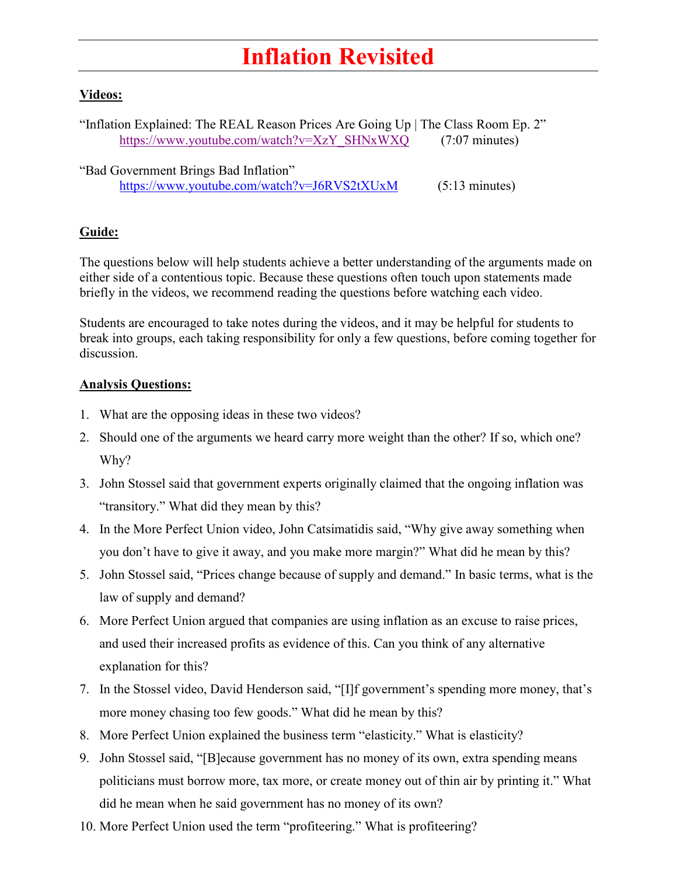## **Inflation Revisited**

## **Videos:**

"Inflation Explained: The REAL Reason Prices Are Going Up | The Class Room Ep. 2" [https://www.youtube.com/watch?v=XzY\\_SHNxWXQ](https://www.youtube.com/watch?v=XzY_SHNxWXQ) (7:07 minutes)

"Bad Government Brings Bad Inflation" <https://www.youtube.com/watch?v=J6RVS2tXUxM> (5:13 minutes)

## **Guide:**

The questions below will help students achieve a better understanding of the arguments made on either side of a contentious topic. Because these questions often touch upon statements made briefly in the videos, we recommend reading the questions before watching each video.

Students are encouraged to take notes during the videos, and it may be helpful for students to break into groups, each taking responsibility for only a few questions, before coming together for discussion.

## **Analysis Questions:**

- 1. What are the opposing ideas in these two videos?
- 2. Should one of the arguments we heard carry more weight than the other? If so, which one? Why?
- 3. John Stossel said that government experts originally claimed that the ongoing inflation was "transitory." What did they mean by this?
- 4. In the More Perfect Union video, John Catsimatidis said, "Why give away something when you don't have to give it away, and you make more margin?" What did he mean by this?
- 5. John Stossel said, "Prices change because of supply and demand." In basic terms, what is the law of supply and demand?
- 6. More Perfect Union argued that companies are using inflation as an excuse to raise prices, and used their increased profits as evidence of this. Can you think of any alternative explanation for this?
- 7. In the Stossel video, David Henderson said, "[I]f government's spending more money, that's more money chasing too few goods." What did he mean by this?
- 8. More Perfect Union explained the business term "elasticity." What is elasticity?
- 9. John Stossel said, "[B]ecause government has no money of its own, extra spending means politicians must borrow more, tax more, or create money out of thin air by printing it." What did he mean when he said government has no money of its own?
- 10. More Perfect Union used the term "profiteering." What is profiteering?